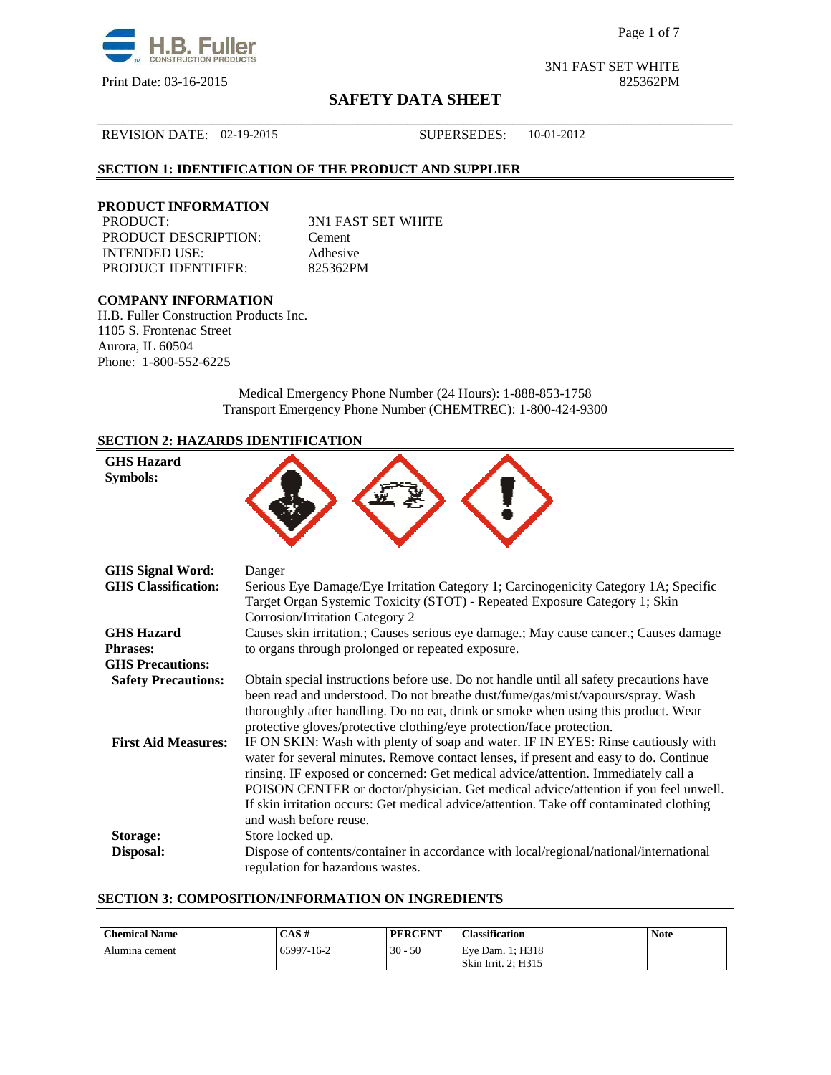

# **SAFETY DATA SHEET** \_\_\_\_\_\_\_\_\_\_\_\_\_\_\_\_\_\_\_\_\_\_\_\_\_\_\_\_\_\_\_\_\_\_\_\_\_\_\_\_\_\_\_\_\_\_\_\_\_\_\_\_\_\_\_\_\_\_\_\_\_\_\_\_\_\_\_\_\_\_\_\_\_\_\_\_\_\_

3N1 FAST SET WHITE Print Date: 03-16-2015 825362PM

## REVISION DATE: 02-19-2015 SUPERSEDES: 10-01-2012

## **SECTION 1: IDENTIFICATION OF THE PRODUCT AND SUPPLIER**

#### **PRODUCT INFORMATION**

PRODUCT: 3N1 FAST SET WHITE PRODUCT DESCRIPTION: Cement INTENDED USE: Adhesive PRODUCT IDENTIFIER: 825362PM

# **COMPANY INFORMATION**

H.B. Fuller Construction Products Inc. 1105 S. Frontenac Street Aurora, IL 60504 Phone: 1-800-552-6225

> Medical Emergency Phone Number (24 Hours): 1-888-853-1758 Transport Emergency Phone Number (CHEMTREC): 1-800-424-9300

### **SECTION 2: HAZARDS IDENTIFICATION**

| <b>GHS Hazard</b><br>Symbols: |                                                                                                                                                                                                                                                                                                                                                                                                                                                                              |
|-------------------------------|------------------------------------------------------------------------------------------------------------------------------------------------------------------------------------------------------------------------------------------------------------------------------------------------------------------------------------------------------------------------------------------------------------------------------------------------------------------------------|
| <b>GHS Signal Word:</b>       | Danger                                                                                                                                                                                                                                                                                                                                                                                                                                                                       |
| <b>GHS</b> Classification:    | Serious Eye Damage/Eye Irritation Category 1; Carcinogenicity Category 1A; Specific<br>Target Organ Systemic Toxicity (STOT) - Repeated Exposure Category 1; Skin<br>Corrosion/Irritation Category 2                                                                                                                                                                                                                                                                         |
| <b>GHS Hazard</b>             | Causes skin irritation.; Causes serious eye damage.; May cause cancer.; Causes damage                                                                                                                                                                                                                                                                                                                                                                                        |
| <b>Phrases:</b>               | to organs through prolonged or repeated exposure.                                                                                                                                                                                                                                                                                                                                                                                                                            |
| <b>GHS Precautions:</b>       |                                                                                                                                                                                                                                                                                                                                                                                                                                                                              |
| <b>Safety Precautions:</b>    | Obtain special instructions before use. Do not handle until all safety precautions have<br>been read and understood. Do not breathe dust/fume/gas/mist/vapours/spray. Wash<br>thoroughly after handling. Do no eat, drink or smoke when using this product. Wear<br>protective gloves/protective clothing/eye protection/face protection.                                                                                                                                    |
| <b>First Aid Measures:</b>    | IF ON SKIN: Wash with plenty of soap and water. IF IN EYES: Rinse cautiously with<br>water for several minutes. Remove contact lenses, if present and easy to do. Continue<br>rinsing. IF exposed or concerned: Get medical advice/attention. Immediately call a<br>POISON CENTER or doctor/physician. Get medical advice/attention if you feel unwell.<br>If skin irritation occurs: Get medical advice/attention. Take off contaminated clothing<br>and wash before reuse. |
| <b>Storage:</b>               | Store locked up.                                                                                                                                                                                                                                                                                                                                                                                                                                                             |
| Disposal:                     | Dispose of contents/container in accordance with local/regional/national/international<br>regulation for hazardous wastes.                                                                                                                                                                                                                                                                                                                                                   |

### **SECTION 3: COMPOSITION/INFORMATION ON INGREDIENTS**

| CAS#       | <b>PERCENT</b> | <b>Classification</b> | <b>Note</b>                             |
|------------|----------------|-----------------------|-----------------------------------------|
| 65997-16-2 | 50             |                       |                                         |
|            |                | $30 -$                | Eve Dam. 1: H318<br>Skin Irrit. 2: H315 |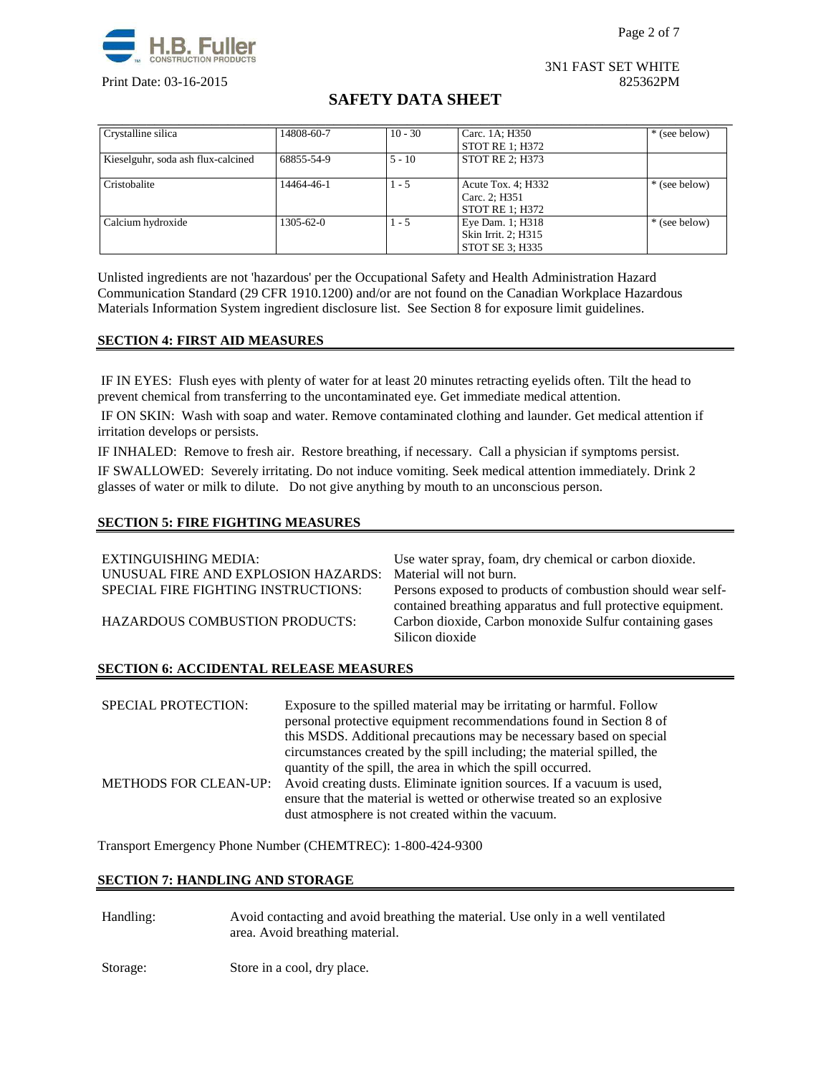



3N1 FAST SET WHITE Print Date: 03-16-2015 825362PM

# **SAFETY DATA SHEET**

| Crystalline silica                 | 14808-60-7 | $10 - 30$ | Carc. 1A; H350                                                | * (see below) |
|------------------------------------|------------|-----------|---------------------------------------------------------------|---------------|
|                                    |            |           | <b>STOT RE 1: H372</b>                                        |               |
| Kieselguhr, soda ash flux-calcined | 68855-54-9 | $5 - 10$  | <b>STOT RE 2: H373</b>                                        |               |
| Cristobalite                       | 14464-46-1 | $1 - 5$   | Acute Tox. 4; H332<br>Carc. 2; H351<br><b>STOT RE 1: H372</b> | * (see below) |
| Calcium hydroxide                  | 1305-62-0  | $1 - 5$   | Eye Dam. 1; H318<br>Skin Irrit. 2; H315<br>STOT SE 3; H335    | * (see below) |

Unlisted ingredients are not 'hazardous' per the Occupational Safety and Health Administration Hazard Communication Standard (29 CFR 1910.1200) and/or are not found on the Canadian Workplace Hazardous Materials Information System ingredient disclosure list. See Section 8 for exposure limit guidelines.

### **SECTION 4: FIRST AID MEASURES**

 IF IN EYES: Flush eyes with plenty of water for at least 20 minutes retracting eyelids often. Tilt the head to prevent chemical from transferring to the uncontaminated eye. Get immediate medical attention.

 IF ON SKIN: Wash with soap and water. Remove contaminated clothing and launder. Get medical attention if irritation develops or persists.

IF INHALED: Remove to fresh air. Restore breathing, if necessary. Call a physician if symptoms persist. IF SWALLOWED:Severely irritating. Do not induce vomiting. Seek medical attention immediately. Drink 2 glasses of water or milk to dilute. Do not give anything by mouth to an unconscious person.

#### **SECTION 5: FIRE FIGHTING MEASURES**

| EXTINGUISHING MEDIA:<br>UNUSUAL FIRE AND EXPLOSION HAZARDS: | Use water spray, foam, dry chemical or carbon dioxide.<br>Material will not burn.                                           |
|-------------------------------------------------------------|-----------------------------------------------------------------------------------------------------------------------------|
| SPECIAL FIRE FIGHTING INSTRUCTIONS:                         | Persons exposed to products of combustion should wear self-<br>contained breathing apparatus and full protective equipment. |
| <b>HAZARDOUS COMBUSTION PRODUCTS:</b>                       | Carbon dioxide, Carbon monoxide Sulfur containing gases<br>Silicon dioxide                                                  |

#### **SECTION 6: ACCIDENTAL RELEASE MEASURES**

| <b>SPECIAL PROTECTION:</b> | Exposure to the spilled material may be irritating or harmful. Follow<br>personal protective equipment recommendations found in Section 8 of<br>this MSDS. Additional precautions may be necessary based on special<br>circumstances created by the spill including; the material spilled, the |
|----------------------------|------------------------------------------------------------------------------------------------------------------------------------------------------------------------------------------------------------------------------------------------------------------------------------------------|
|                            | quantity of the spill, the area in which the spill occurred.<br>METHODS FOR CLEAN-UP: Avoid creating dusts. Eliminate ignition sources. If a vacuum is used,<br>ensure that the material is wetted or otherwise treated so an explosive<br>dust atmosphere is not created within the vacuum.   |

Transport Emergency Phone Number (CHEMTREC): 1-800-424-9300

### **SECTION 7: HANDLING AND STORAGE**

| Handling: | Avoid contacting and avoid breathing the material. Use only in a well ventilated<br>area. Avoid breathing material. |
|-----------|---------------------------------------------------------------------------------------------------------------------|
| Storage:  | Store in a cool, dry place.                                                                                         |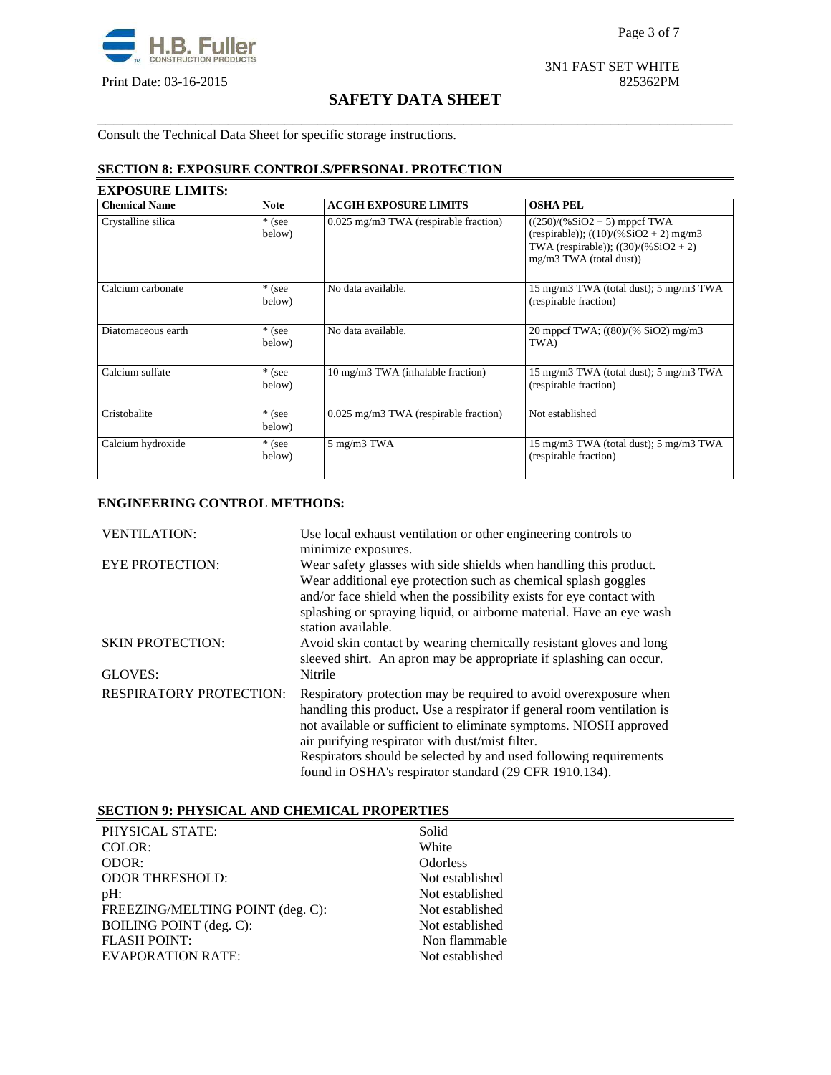

3N1 FAST SET WHITE Print Date: 03-16-2015 825362PM

# **SAFETY DATA SHEET** \_\_\_\_\_\_\_\_\_\_\_\_\_\_\_\_\_\_\_\_\_\_\_\_\_\_\_\_\_\_\_\_\_\_\_\_\_\_\_\_\_\_\_\_\_\_\_\_\_\_\_\_\_\_\_\_\_\_\_\_\_\_\_\_\_\_\_\_\_\_\_\_\_\_\_\_\_\_

Consult the Technical Data Sheet for specific storage instructions.

# **SECTION 8: EXPOSURE CONTROLS/PERSONAL PROTECTION**

| <b>Chemical Name</b> | <b>Note</b>        | <b>ACGIH EXPOSURE LIMITS</b>          | <b>OSHA PEL</b>                                                                                                                                  |
|----------------------|--------------------|---------------------------------------|--------------------------------------------------------------------------------------------------------------------------------------------------|
| Crystalline silica   | * (see<br>below)   | 0.025 mg/m3 TWA (respirable fraction) | $((250)/(%SiO2 + 5)$ mppcf TWA<br>(respirable)); $((10)/(%SiO2 + 2)$ mg/m3<br>TWA (respirable)); $((30)/(%SiO2 + 2))$<br>mg/m3 TWA (total dust)) |
| Calcium carbonate    | * (see<br>below)   | No data available.                    | 15 mg/m3 TWA (total dust); 5 mg/m3 TWA<br>(respirable fraction)                                                                                  |
| Diatomaceous earth   | * (see<br>below)   | No data available.                    | 20 mppcf TWA; $((80)/(% SiO2)$ mg/m3<br>TWA)                                                                                                     |
| Calcium sulfate      | $*$ (see<br>below) | 10 mg/m3 TWA (inhalable fraction)     | 15 mg/m3 TWA (total dust); 5 mg/m3 TWA<br>(respirable fraction)                                                                                  |
| Cristobalite         | * (see<br>below)   | 0.025 mg/m3 TWA (respirable fraction) | Not established                                                                                                                                  |
| Calcium hydroxide    | * (see<br>below)   | 5 mg/m3 TWA                           | 15 mg/m3 TWA (total dust); 5 mg/m3 TWA<br>(respirable fraction)                                                                                  |

## **ENGINEERING CONTROL METHODS:**

| <b>VENTILATION:</b>            | Use local exhaust ventilation or other engineering controls to<br>minimize exposures.                                                                                                                                                                                                                                                                                                              |
|--------------------------------|----------------------------------------------------------------------------------------------------------------------------------------------------------------------------------------------------------------------------------------------------------------------------------------------------------------------------------------------------------------------------------------------------|
| <b>EYE PROTECTION:</b>         | Wear safety glasses with side shields when handling this product.<br>Wear additional eye protection such as chemical splash goggles<br>and/or face shield when the possibility exists for eye contact with<br>splashing or spraying liquid, or airborne material. Have an eye wash<br>station available.                                                                                           |
| <b>SKIN PROTECTION:</b>        | Avoid skin contact by wearing chemically resistant gloves and long<br>sleeved shirt. An apron may be appropriate if splashing can occur.                                                                                                                                                                                                                                                           |
| GLOVES:                        | Nitrile                                                                                                                                                                                                                                                                                                                                                                                            |
| <b>RESPIRATORY PROTECTION:</b> | Respiratory protection may be required to avoid overexposure when<br>handling this product. Use a respirator if general room ventilation is<br>not available or sufficient to eliminate symptoms. NIOSH approved<br>air purifying respirator with dust/mist filter.<br>Respirators should be selected by and used following requirements<br>found in OSHA's respirator standard (29 CFR 1910.134). |

# **SECTION 9: PHYSICAL AND CHEMICAL PROPERTIES**

| PHYSICAL STATE:                  | Solid           |
|----------------------------------|-----------------|
| COLOR:                           | White           |
| ODOR:                            | <b>Odorless</b> |
| <b>ODOR THRESHOLD:</b>           | Not established |
| $pH$ :                           | Not established |
| FREEZING/MELTING POINT (deg. C): | Not established |
| <b>BOILING POINT</b> (deg. C):   | Not established |
| <b>FLASH POINT:</b>              | Non flammable   |
| <b>EVAPORATION RATE:</b>         | Not established |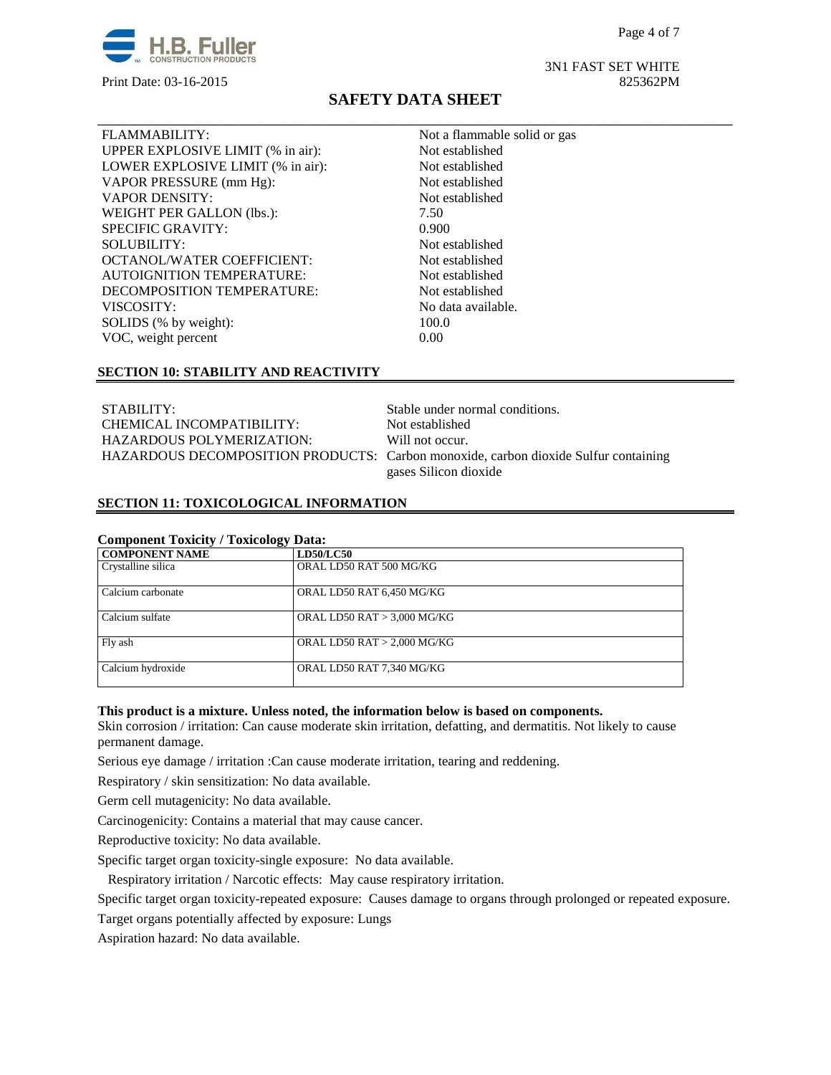

VOC, weight percent

# **SAFETY DATA SHEET**

\_\_\_\_\_\_\_\_\_\_\_\_\_\_\_\_\_\_\_\_\_\_\_\_\_\_\_\_\_\_\_\_\_\_\_\_\_\_\_\_\_\_\_\_\_\_\_\_\_\_\_\_\_\_\_\_\_\_\_\_\_\_\_\_\_\_\_\_\_\_\_\_\_\_\_\_\_\_

FLAMMABILITY: Not a flammable solid or gas UPPER EXPLOSIVE LIMIT (% in air): Not established LOWER EXPLOSIVE LIMIT (% in air): Not established VAPOR PRESSURE (mm Hg): Not established VAPOR DENSITY: Not established WEIGHT PER GALLON (lbs.): 7.50 SPECIFIC GRAVITY: 0.900 SOLUBILITY:<br>
OCTANOL/WATER COEFFICIENT: Not established<br>
Not established<br>
Not established AUTOIGNITION TEMPERATURE: Not established DECOMPOSITION TEMPERATURE: Not established VISCOSITY: No data available. SOLIDS (% by weight): 100.0<br>VOC, weight percent 0.00

#### **SECTION 10: STABILITY AND REACTIVITY**

OCTANOL/WATER COEFFICIENT:

STABILITY: Stable under normal conditions.<br>
CHEMICAL INCOMPATIBILITY: Not established CHEMICAL INCOMPATIBILITY: HAZARDOUS POLYMERIZATION: Will not occur.

HAZARDOUS DECOMPOSITION PRODUCTS: Carbon monoxide, carbon dioxide Sulfur containing gases Silicon dioxide

### **SECTION 11: TOXICOLOGICAL INFORMATION**

| <b>COMPONENT NAME</b> | <b>LD50/LC50</b>              |
|-----------------------|-------------------------------|
| Crystalline silica    | ORAL LD50 RAT 500 MG/KG       |
| Calcium carbonate     | ORAL LD50 RAT 6,450 MG/KG     |
| Calcium sulfate       | ORAL LD50 RAT > 3,000 MG/KG   |
| Fly ash               | ORAL LD50 RAT $> 2,000$ MG/KG |
| Calcium hydroxide     | ORAL LD50 RAT 7,340 MG/KG     |

#### **This product is a mixture. Unless noted, the information below is based on components.**

Skin corrosion / irritation: Can cause moderate skin irritation, defatting, and dermatitis. Not likely to cause permanent damage.

Serious eye damage / irritation :Can cause moderate irritation, tearing and reddening.

Respiratory / skin sensitization: No data available.

Germ cell mutagenicity: No data available.

Carcinogenicity: Contains a material that may cause cancer.

Reproductive toxicity: No data available.

Specific target organ toxicity-single exposure:No data available.

Respiratory irritation / Narcotic effects: May cause respiratory irritation.

Specific target organ toxicity-repeated exposure:Causes damage to organs through prolonged or repeated exposure.

Target organs potentially affected by exposure: Lungs

Aspiration hazard: No data available.

## 3N1 FAST SET WHITE Print Date: 03-16-2015 825362PM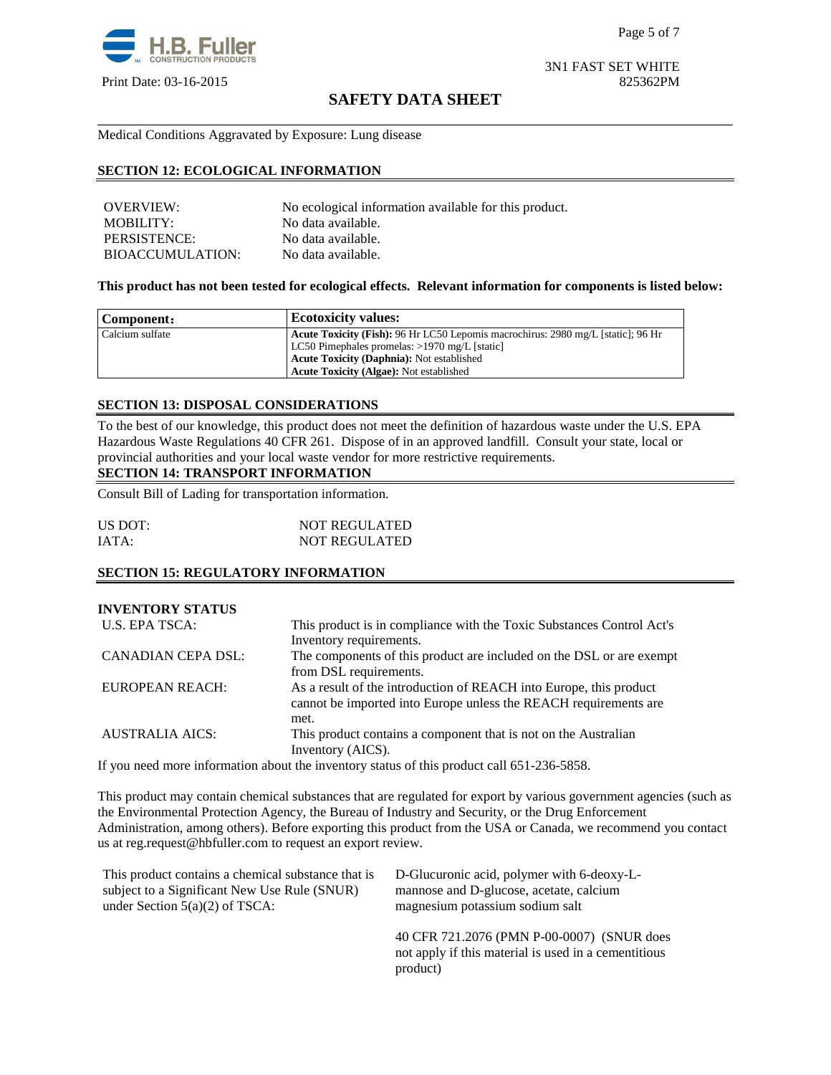

Page 5 of 7

3N1 FAST SET WHITE Print Date: 03-16-2015 825362PM

# **SAFETY DATA SHEET** \_\_\_\_\_\_\_\_\_\_\_\_\_\_\_\_\_\_\_\_\_\_\_\_\_\_\_\_\_\_\_\_\_\_\_\_\_\_\_\_\_\_\_\_\_\_\_\_\_\_\_\_\_\_\_\_\_\_\_\_\_\_\_\_\_\_\_\_\_\_\_\_\_\_\_\_\_\_

Medical Conditions Aggravated by Exposure: Lung disease

## **SECTION 12: ECOLOGICAL INFORMATION**

| OVERVIEW:               | No ecological information available for this product. |
|-------------------------|-------------------------------------------------------|
| <b>MOBILITY:</b>        | No data available.                                    |
| PERSISTENCE:            | No data available.                                    |
| <b>BIOACCUMULATION:</b> | No data available.                                    |

#### **This product has not been tested for ecological effects. Relevant information for components is listed below:**

| Component:      | <b>Ecotoxicity values:</b>                                                              |  |  |
|-----------------|-----------------------------------------------------------------------------------------|--|--|
| Calcium sulfate | <b>Acute Toxicity (Fish):</b> 96 Hr LC50 Lepomis macrochirus: 2980 mg/L [static]; 96 Hr |  |  |
|                 | LC50 Pimephales promelas: $>1970$ mg/L [static]                                         |  |  |
|                 | <b>Acute Toxicity (Daphnia):</b> Not established                                        |  |  |
|                 | <b>Acute Toxicity (Algae): Not established</b>                                          |  |  |

#### **SECTION 13: DISPOSAL CONSIDERATIONS**

To the best of our knowledge, this product does not meet the definition of hazardous waste under the U.S. EPA Hazardous Waste Regulations 40 CFR 261. Dispose of in an approved landfill. Consult your state, local or provincial authorities and your local waste vendor for more restrictive requirements.

# **SECTION 14: TRANSPORT INFORMATION**

Consult Bill of Lading for transportation information.

| US DOT: | <b>NOT REGULATED</b> |
|---------|----------------------|
| IATA:   | <b>NOT REGULATED</b> |

#### **SECTION 15: REGULATORY INFORMATION**

| <b>INVENTORY STATUS</b> |                                                                                                                                                |  |
|-------------------------|------------------------------------------------------------------------------------------------------------------------------------------------|--|
| U.S. EPA TSCA:          | This product is in compliance with the Toxic Substances Control Act's                                                                          |  |
|                         | Inventory requirements.                                                                                                                        |  |
| CANADIAN CEPA DSL:      | The components of this product are included on the DSL or are exempt<br>from DSL requirements.                                                 |  |
| <b>EUROPEAN REACH:</b>  | As a result of the introduction of REACH into Europe, this product<br>cannot be imported into Europe unless the REACH requirements are<br>met. |  |
| <b>AUSTRALIA AICS:</b>  | This product contains a component that is not on the Australian<br>Inventory (AICS).                                                           |  |

If you need more information about the inventory status of this product call 651-236-5858.

This product may contain chemical substances that are regulated for export by various government agencies (such as the Environmental Protection Agency, the Bureau of Industry and Security, or the Drug Enforcement Administration, among others). Before exporting this product from the USA or Canada, we recommend you contact us at reg.request@hbfuller.com to request an export review.

product)

| This product contains a chemical substance that is | D-Glucuronic acid, polymer with 6-deoxy-L-                                                         |  |
|----------------------------------------------------|----------------------------------------------------------------------------------------------------|--|
| subject to a Significant New Use Rule (SNUR)       | mannose and D-glucose, acetate, calcium                                                            |  |
| under Section $5(a)(2)$ of TSCA:                   | magnesium potassium sodium salt                                                                    |  |
|                                                    | 40 CFR 721.2076 (PMN P-00-0007) (SNUR does<br>not apply if this material is used in a cementitious |  |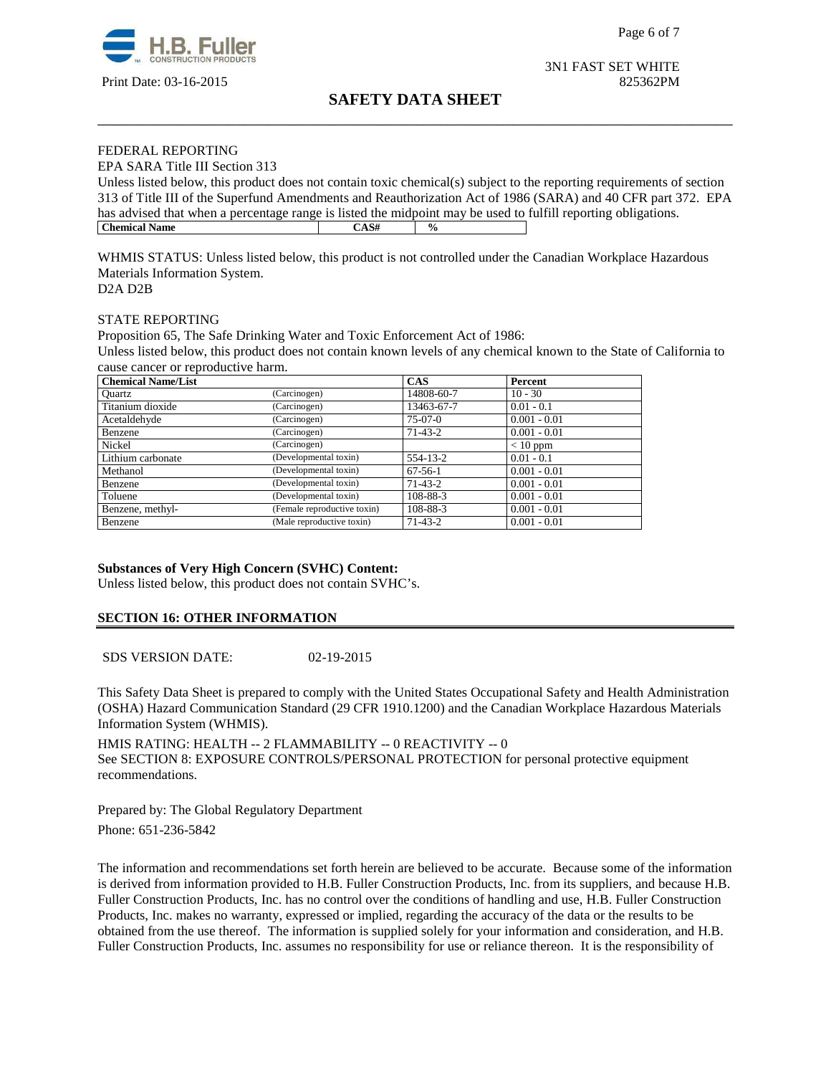

3N1 FAST SET WHITE

## Print Date: 03-16-2015 825362PM

# **SAFETY DATA SHEET** \_\_\_\_\_\_\_\_\_\_\_\_\_\_\_\_\_\_\_\_\_\_\_\_\_\_\_\_\_\_\_\_\_\_\_\_\_\_\_\_\_\_\_\_\_\_\_\_\_\_\_\_\_\_\_\_\_\_\_\_\_\_\_\_\_\_\_\_\_\_\_\_\_\_\_\_\_\_

#### FEDERAL REPORTING

EPA SARA Title III Section 313

Unless listed below, this product does not contain toxic chemical(s) subject to the reporting requirements of section 313 of Title III of the Superfund Amendments and Reauthorization Act of 1986 (SARA) and 40 CFR part 372. EPA has advised that when a percentage range is listed the midpoint may be used to fulfill reporting obligations.<br>
Chemical Name **Chemical Name** CAS#  $\frac{9}{6}$ 

WHMIS STATUS: Unless listed below, this product is not controlled under the Canadian Workplace Hazardous Materials Information System. D2A D2B

# STATE REPORTING

Proposition 65, The Safe Drinking Water and Toxic Enforcement Act of 1986:

Unless listed below, this product does not contain known levels of any chemical known to the State of California to cause cancer or reproductive harm.

| <b>Chemical Name/List</b> |                             | <b>CAS</b>    | Percent        |
|---------------------------|-----------------------------|---------------|----------------|
| Ouartz                    | (Carcinogen)                | 14808-60-7    | $10 - 30$      |
| Titanium dioxide          | (Carcinogen)                | 13463-67-7    | $0.01 - 0.1$   |
| Acetaldehyde              | (Carcinogen)                | $75-07-0$     | $0.001 - 0.01$ |
| Benzene                   | (Carcinogen)                | $71-43-2$     | $0.001 - 0.01$ |
| Nickel                    | (Carcinogen)                |               | $< 10$ ppm     |
| Lithium carbonate         | (Developmental toxin)       | 554-13-2      | $0.01 - 0.1$   |
| Methanol                  | (Developmental toxin)       | $67-56-1$     | $0.001 - 0.01$ |
| Benzene                   | (Developmental toxin)       | $71-43-2$     | $0.001 - 0.01$ |
| Toluene                   | (Developmental toxin)       | 108-88-3      | $0.001 - 0.01$ |
| Benzene, methyl-          | (Female reproductive toxin) | 108-88-3      | $0.001 - 0.01$ |
| Benzene                   | (Male reproductive toxin)   | $71 - 43 - 2$ | $0.001 - 0.01$ |

#### **Substances of Very High Concern (SVHC) Content:**

Unless listed below, this product does not contain SVHC's.

#### **SECTION 16: OTHER INFORMATION**

SDS VERSION DATE: 02-19-2015

This Safety Data Sheet is prepared to comply with the United States Occupational Safety and Health Administration (OSHA) Hazard Communication Standard (29 CFR 1910.1200) and the Canadian Workplace Hazardous Materials Information System (WHMIS).

HMIS RATING: HEALTH -- 2 FLAMMABILITY -- 0 REACTIVITY -- 0 See SECTION 8: EXPOSURE CONTROLS/PERSONAL PROTECTION for personal protective equipment recommendations.

Prepared by: The Global Regulatory Department Phone: 651-236-5842

The information and recommendations set forth herein are believed to be accurate. Because some of the information is derived from information provided to H.B. Fuller Construction Products, Inc. from its suppliers, and because H.B. Fuller Construction Products, Inc. has no control over the conditions of handling and use, H.B. Fuller Construction Products, Inc. makes no warranty, expressed or implied, regarding the accuracy of the data or the results to be obtained from the use thereof. The information is supplied solely for your information and consideration, and H.B. Fuller Construction Products, Inc. assumes no responsibility for use or reliance thereon. It is the responsibility of